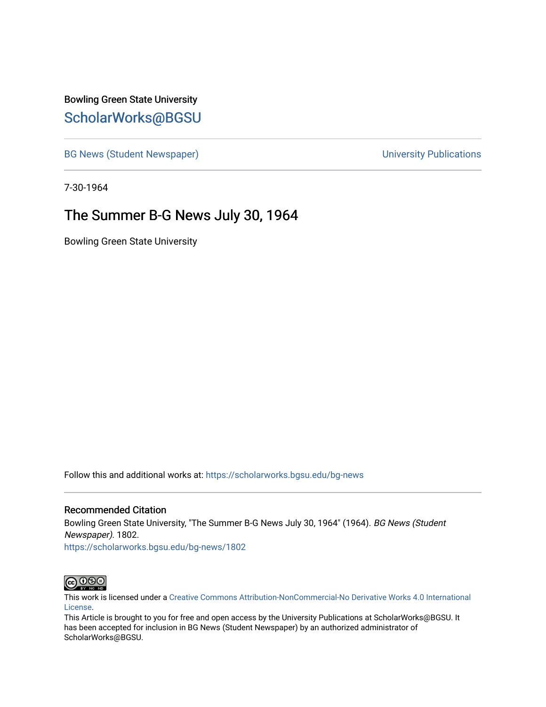Bowling Green State University [ScholarWorks@BGSU](https://scholarworks.bgsu.edu/) 

[BG News \(Student Newspaper\)](https://scholarworks.bgsu.edu/bg-news) and the [University Publications](https://scholarworks.bgsu.edu/campus) of the University Publications

7-30-1964

#### The Summer B-G News July 30, 1964

Bowling Green State University

Follow this and additional works at: [https://scholarworks.bgsu.edu/bg-news](https://scholarworks.bgsu.edu/bg-news?utm_source=scholarworks.bgsu.edu%2Fbg-news%2F1802&utm_medium=PDF&utm_campaign=PDFCoverPages)

#### Recommended Citation

Bowling Green State University, "The Summer B-G News July 30, 1964" (1964). BG News (Student Newspaper). 1802.

[https://scholarworks.bgsu.edu/bg-news/1802](https://scholarworks.bgsu.edu/bg-news/1802?utm_source=scholarworks.bgsu.edu%2Fbg-news%2F1802&utm_medium=PDF&utm_campaign=PDFCoverPages) 



This work is licensed under a [Creative Commons Attribution-NonCommercial-No Derivative Works 4.0 International](https://creativecommons.org/licenses/by-nc-nd/4.0/) [License.](https://creativecommons.org/licenses/by-nc-nd/4.0/)

This Article is brought to you for free and open access by the University Publications at ScholarWorks@BGSU. It has been accepted for inclusion in BG News (Student Newspaper) by an authorized administrator of ScholarWorks@BGSU.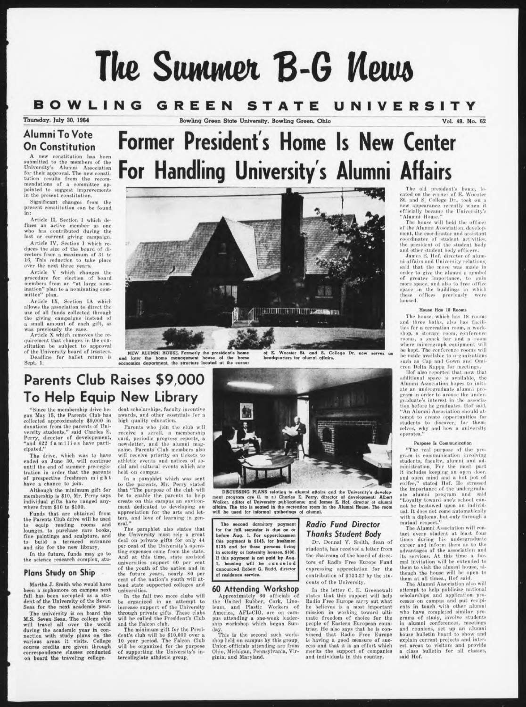# **The Suwwci B-G Memo**

# **BOWLING** GREEN STATE UNIVERSITY

Bowling Green State University, Bowling Green. Ohio Vol. 48, No. 62

#### **Alumni To Vote On Constitution**

A new constitution has been<br>submitted to the members of the<br>University's Alumni Association for their approval. The new constitution results from the recom-<br>mendations of a committee ap-<br>pointed to suggest improvements in the present constitution.

Significant changes from the present constitution can be found in:

Article II. Section <sup>I</sup> which defines an active member as one<br>who has contributed during the last or current giving campaign.

Article IV. Section <sup>I</sup> which reduces the size of the board of directors from a maximum of 31 to<br>16. This reduction to take place over the next three years.

Article V which changes the procedure for election of board members from an "at large nomination" plan to a nominating committee" plan.

Article IX, Section IA which<br>allows the association to direct the<br>use of all funds collected through<br>the giving campaigns instead of<br>a small amount of each gift, as

was previously the case. Article X which removes the re-quirement that changes in the constitution be subject to approval of the University board of trustees. Deadline for ballot return is

Sept. 1.



**JENNIFERENT FILT LEASENS IN** 

NEW ALUMNI HOUSE. Formerly the president's home and later the home management house of the home economics department, the truclure located at the corner

of E. Wooster St. and S. College Dr. now serves an headquarters for alumni affairs.

### **Parents Club Raises \$9,000 To Help Equip New Library**

"Since the membership drive be-gan May 15, the Parents Club has collected approximately \$9,000 in<br>donations from the parents of Uni-<br>versity students," said Charles E.<br>Perry, director of developement,<br>"and 622 families have participated."

The drive, which was to have<br>ended on June 30, will continue<br>until the end of summer pre-regis-<br>tration in order that the parents<br>of prospective freshmen might<br>have a chance to join.

Although the minimum gift for membership is \$10, Mr. Perry says individual gifts have ranged anywhere from \$10 to \$100.

Funds that are obtained from the Parents Club drive will be used to equip reading rooms and lounges, to purchase rare books, fine paintings and sculpture, and to build a terraced entrance and site for the new library.

In the future, funds may go to the science research complex, stu-

#### **Plans Study on Ship**

Martha J. Smith who would have been a sophomore on campus next fall has been accepted as a stu-dent of the University of the Seven Seas for the next academic year.

The university is on board the M.S. Seven Seas. The college ship<br>will travel all over the world<br>during the academic year in con-<br>nection with study plans on the<br>various areas it visits. College<br>course credits are given thr correspondence classes conducted on board the traveling college.

dent scholarships, faculty incentive awards, and other essentials for a high quality education.

Parents who join the club will receive a scroll, a membership card, periodic progress reports, a newsletter, and the alumni mag-<br>azine. Parents Club members also will receive priority on tickets to athletic events and notices of social and cultural events which are held on compus.

In a pamphlet which was sent<br>to the parents, Mr. Perry stated<br>that "The purpose of the club will<br>be to enable the parents to help<br>create on this campus an environment dedicated to developing an appreciation for the arts and letters, and love of learning in gen-eral."

The pamphlet also states that the University must rely a great deal on private gifts for only II per cent of the University's operating expenses come from the state. And at this time, state assisted universities support 00 per cent of the youth of the nation and in the future years, nearly X0 per cent of the nation's youth will at-tend state supported colleges and universities.

In the fall two more clubs will be organized in an attempt to increase support of the University through private gifts. These clubs will be called the President's Club and the Falcon club.

The minimum gift for the Presi-dent's club will be \$10,000 over a 10 year period. The Falcon Club will be organized for the purpose of supporting the University's in-tercollegiate athdetic group.



DISCUSSING PLANS relating to alumni affairs and the University's development program are (l. to r.) Charles E. Perry, director of development: Albert Walker, editor of University publications: and James E. Hof, director o

The second dormitory payment for the fall semester is due on or<br>before Aug. 1. For upperclassmen<br>this payment is \$145. for freshmen S135 and for those persons living in sorority or fraternity houses. S100. li this payment Is nol paid by Aug. 1. housing will be canceled announced Robert G. Rudd. director of residence service.

#### **60 Attending Workshop**

Approximately 60 officials of the United Rubber, Cork, Lino-leum, and Plastic Workers of America, AFL-CIO, are on cam-pus attending a one-week leader-ship workshop which began Sun-

day. This *is* the second such work-shop held on campus by this group. Union officials attending are from Ohio, Michigan, Pennsylvania, Virginia, and Maryland.

#### *Radio Fund Director Thanks Student Body*

Dr. Donnal V. Smith, dean of students, has received a letter from the chairman of the board of directors of Radio Free Europe Fund expressing appreciation for the contribution of \$723.27 by the students of the University.

In the letter C. H. Greenewalt slates that this support will help Radio Free Kurope carry out what he believes is a most important mission in working toward ulti-mate freedom of choice for the people of Eastern Kuropean countries. He also says that he is con-vinced that Radio Free Europe is having a good measure of suc-<br>cess and that it is an effort which<br>merits the support of companies<br>and individuals in this country.

The old president's home, lo-<br>cated on the corner of E. Wooster<br>St. and S. College Dr., took on n<br>new appearance recently when it officially became the University's<br>"Alumni House."

The house will hold the offices of the Alumni Association, development, the coordinator and assistant coordinator of student activities, the president of the student body ami other student body officers. James E. llof, director of alum-ni affairs and University relations,

said that the move was made in order to give the alumni a symbol of greater Importance, to earn more space, ami also in free office space in the buildings in which these offices previously were housed.

#### Home Has 18 Rooms

The house, which has 18 rooms<br>and three baths, also has facilities for a recreation room, a workshop, <sup>a</sup> storage room, conference rooms, a snack bar and a room where mimeograph equipment will be kept. The conference rooms will<br>such as Cap and Gown and Omi<br>such as Cap and Gown and Omi<br>eron Delta Kappa for meetings.<br>Hof also reported that now that

additional space is available, the Alumni Association hopes to initi-ate an undergraduate alumni program in order to arouse the undergraduate's interest in the associa-tion before he graduates, llof said, "An Alumni Association should at-tempt to create opportunities for Students to discover, for them-selves, why and how a university operates."

#### Purpose Is Communication

"The real purpose of the pro-gram is communication involving students, faculty, alumni and ad-<br>ministration. For the most part<br>it includes keeping an open door<br>and open mind and a hot pot of<br>coffee," stated Hof. He stressed<br>the importance of the undergraduate alumni program and said "Loyalty toward one's school can-not be bestowed upon an individual. It does not come automatically with a diploma, but only through a

mutual respect." The Alumni Association will con-tact every student at least four times during his undergraduate career and inform them as to the advantages of the association and its services. At this time a for-mal invitation will he extended to them to visit the alumni house, although the house will be open to them at all times., Hof said.

The Alumni Association also will attempt to help publicize national<br>scholarships and application pro-<br>cesses on campus and put recipi-<br>ents in touch with other alumni<br>who have completed similar pro-<br>grams of study, involve students<br>in alumni conferences, and reunions, set up an alumni house bulletin board to show and explain current projects and interest areas to visitors and provide a class bulletin for all classes, said Hof.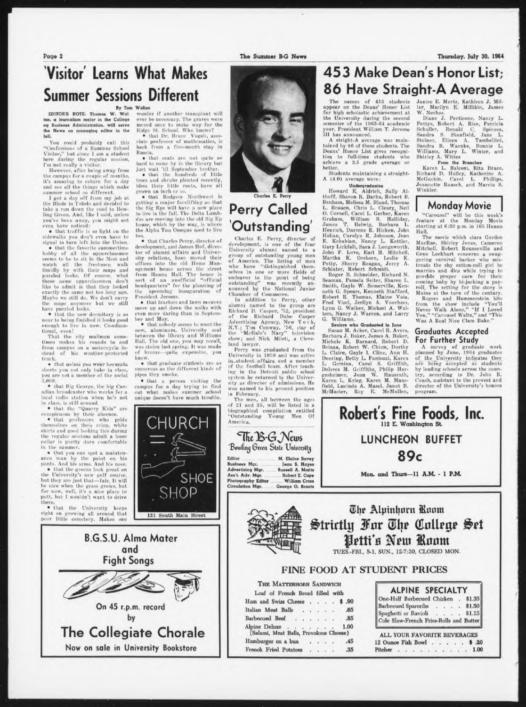#### Walton

Russia.

wonder if another transplant will

ever be necessary. The graves were<br>moved once to make way for the<br>Ridge St. School. Who knows?<br>• that Dr. Bruce Vogeli, asso-<br>ciate professor of mathematics, is<br>back from a five-month stay in

hard to come hy in the library hut just wait 'til September brother. • that the hundreds of little trees and shruhs planted recently, bless their little roots, have all grown an inch or so.<br>• that Rodgers Northwest is getting a major facelifting so that<br>the Sig Eps will have a new place<br>to live in the fall. The Delta Lambdas are moving into the old Sig Ep house, which by the way, is where the Alpha Tau Omegas used to live too. • that Charles Perry, director of development, and James Hof, director of alumni affairs and University relations, have moved their offices into the old Home Man-agement house across tin- street

from Hanna Hall. The house is sort of an unofficial "official headquarters" for the planning of the upcoming inauguration of President Jerome. • that tractors and lawn mowers

move up and down the walks with even more daring than in Septem-ber and May. • that nobody seems to want the

new, aluminum. University seal between the library and Williams Hall. The old one, you may recall, was stolen last spring, It was made bronze-quite expensive, you

• that graduate students are as numerous as the different kinds of

• that a person visiting the campus for a day trying to find out what makes summer .school Unique doesn't have much trouble.

know.

pipea they smoke.

that seats are not quite so

By Tom EDITOR'S NOTE: Thomaa W. Wal ton. a journalism major in iho Collage og Business Administration, will serve the News as managinq editor in the fall.

You could probably call this<br>"Confessions of a Summer School<br>Visitor," but since 1 am a student<br>here during the regular session,

I'm not really a visitor. However, after being away from the campus for a couple of months, it's unaiing to return for day ami see all the things which make summer school so different.<br>I got a day off from my job at

the Blade in Toledo and decided to take a run down the road to Bow-<br>ling Green. And, like I said, unless you've been away, you might not

even have noticed:<br>• that traffic is so light on the<br>sidewalks you don't even have to<br>signal to turn left into the Union.<br>• that the favorite summertime

hobby ef all the upperclaasmen seems to be to sit in the Nest and watch all the freshmen walk<br>timidly by with their maps and<br>puzzled looks. Of course, what<br>these same upperclassmen don't<br>like to admit is that they looked<br>exactly the same not too long ago.<br>Maybe we still do. We don't carr

the maps anymore but we still<br>have puzzled looks.<br>• that the new dormitory is so<br>near to being finished it looks good enough to live in now. Co-educational, even!

That the city mailman some-times makes his rounds to ami from campus on a motorcycle in-stead of his weather-protected truck.

• that unless you wear bermuda shorts you not only hake in class, you are not a member of the social 3,000,

• that Big George, the big Can-adian broadcaster who works for a local radio station when he's not<br>in class, is still around.<br>• that the "Quarry Kids" are

conspicuous by their absence.<br>• that professors who pride<br>themselves on their crisp, white<br>shirts and good looking ties during<br>the regular sessions admit a loose collar is pretty darn comfortable in the summer.

that you can spot a maintenance man by the paint on his<br>pants. And his arms. And his nose.<br>
• that the greens look great om<br>
the University's new golf course,<br>
but they are just that—fair, It will<br>
be nice when the grass grows, but<br>
for now, well, i

right on growing all around that<br>poor little cemetery. Makes one



## Perry Called 'Outstanding'

Charles E. Perry

Charles E. Perry, director of development, is one of the four University alumni named to a group meng menoment of America. The listing of men<br>of America. The listing young men<br>who have "distinguished themselves in one or more fields of endeavor to the point of being

outstanding" was recently an-<br>nounced by the National Junior<br>Chamber of Commerce.<br>In addition to Perry, other<br>alumni named to the group are<br>Richard D. Casper, '52, president<br>Advertising Agency, New York,<br>N.Y.; Tim Conway, show; and Nick Mileti, a Cleve-land lawyer.

Perry was graduated from the<br>University in 1958 and was active<br>in student affairs and a member<br>of the football team. After teaching in the Detroit public school system he returned to the Univer-sity as director of admissions. He was named to his present position<br>in February.

The men, all between the ages<br>of 21 and 35, will be listed in a<br>biographical compilation entitled<br>"Outstanding Young Men Of America.

Bowling Green State University Editor M. Elaine Savey Business Mgr. Jean S. Hayes

The B-G News

Ass't. Adv. Mgr. Robert E. Cope Photography Editor Milliam Cross<br>Circulation Mgr. George O. Braats

Mr. Entine Savey<br>
Russell A. Moritz<br>
Robert E. Cope

THE MATTERHORN SANDWICH Loaf of French Bread filled with Ham and Swiss Cheese . . . . \$ .90 Italian Meat Balls . . . . . . 65 Barbecued Beef . . . . . . . 85 Alpine Deluxe . . . . . . 1.00 (Salami, Meat Balls, Provolone Cheese) Hamburger on a bun . . . . . 45 French Fried Potatoes . . . . . 35

453 Make Dean's Honor List; 86 Have Straight-A Average

The names of 453 students<br>appear on the Deans' Honor List<br>for high scholastic achievement at<br>the University during the second semester of the 1968-64 academic year. President William T. Jerome III has announced.

A stright-A average was maintained by 80 of these students. The Deans' Honor List gives recogni-tion to full-time students who achieve a 3.5 grade average better. Students maintaining a straight-

A (4.0) average were

Undergraduates<br>Howard E. Aldrich, Sally Althoff, Sharon R. Barba, Robert B.<br>Benham, Melissa M. Bland, Thomas<br>L. Brauen, Chris L. Cleary, Neil<br>O. Cornell, Carol L. Gerber, Karen<br>Graham, William S. Halliday,<br>James T. Helwig, Barbara L. Henrich, Darrene R. Hicken, John<br>Holian, Carolyn R. Johnson, Jeann<br>E. Kebabian, Nancy L. Kettler,<br>Gary Lickfelt, Sara J. Longsworth,<br>John F. Love, Earl H. Mitchell,<br>Martha K. Orsborn, Leslie K.<br>Martha K. Orsborn, Leslie K.

Robert R. Thomas, Klaine Vaia, Krod Visel, Jerilyn A. Voorhees, Lynn G. Walker, Michael A. Wal-<br>ters, Nancy J. Warren, and Larry ters, Nancy<br>G. Williams.

Senior\* who Graduated la June Susan M. Acker, Carol R. Avers. Barbara J. Baker, James A. Baker, Michele K. Barnard, Robert D. Brinza, Robert W. Chism, Dorthy<br>L. Claire, Gayle I. Cline, Ann H.<br>Doering, Betty L. Fantozzi, Karen<br>L. Gerzina, Carol S. Griffith,<br>Dolores M. Griffiths, Philip Hargesheimer, Joan W. Ilausrnth, Karen L. Krieg, Karen M. Mans-field, Lucinda A. Masel, Janet B. McMnster, Roy E. McMullen,

Janice E. Marti, Kathleen J. Mil-ler, Marilyn E. Millikin, James W. Nochas. Diane J. Perticonc, Nancy L. Pettys, Robert A. Rice, Patricia

Schuller, Ronald C. Spinosa,<br>Sandra S. Stanfield, Jane L.<br>Steiner, Eileen A. Tambellini,<br>Sandra R. Warnke, Bonnie L.<br>Williams, Mary L. Winter, and<br>Shirley A. Wittes<br>From the Branches<br>Karen L. Balconi, Rita Brace,<br>Richard D

#### **Monday Movie**

"Carousel" will be this week's feature at the Monday Movie starting at 6:30 p.m. in 105 Hanna Hall.

The movie which stars Gordon MacRae, Shirley Jones, Cameron Mitchell, Robert Rounseville and Gene Lockhart concerns a swag-<br>gering carnival barker who mis-<br>treats the shy cotton-mill girl he<br>marries and dies while trying to provide proper care for their coming baby by hi-jacking a pay-roll. The setting for the story is Maine at the turn of the century. Rogers and Hammerstein hits from the show include "You'll Never Walk Alone," "If <sup>I</sup> Loved You," "Carousel Waltz," and "This Was A Real Nice Clam Bake."

#### **Graduates Accepted For Further Study**

A survey of graduate work<br>planned by June, 1964 graduates of the University indicates they are being accepted as students by leading schools across the country, according to Dr. John R. Coash, assistant to the provost and director of the University's honors program.





 $\overline{\mathbf{U}}$ he Alpinhorn **Room** Slrtrtlg 3far Sty\* *(£Mt\$t &et* Petti's New Room TUES.-FRI., 5-1, SUN., 12-7:30, CLOSED **MON.**

**Robert's Fine Foods, Inc.** 112 E. Washington St

**LUNCHEON BUFFET**

89c

**Mon. and Thurs—11 A.M • <sup>1</sup> P.M.**

#### FINE FOOD AT STUDENT PRICES

| <b>ALPINE SPECIALTY</b>                                           |  |        |
|-------------------------------------------------------------------|--|--------|
| One-Half Barbecued Chicken . \$1.35<br>Barbecued Spareribs \$1.50 |  |        |
|                                                                   |  |        |
| Spaghetti or Ravioli                                              |  | \$1.15 |
| Cole Slaw-French Fries-Rolls and Butter                           |  |        |

ALL YOUR FAVORITE BEVERAGES<br>12 Ounce Fish Bowl . . . . . . \$ .20 Pitcher 1.00

there. • that the University keeps



Page 2 The-Summer B-G News Thursday, July 30, 1964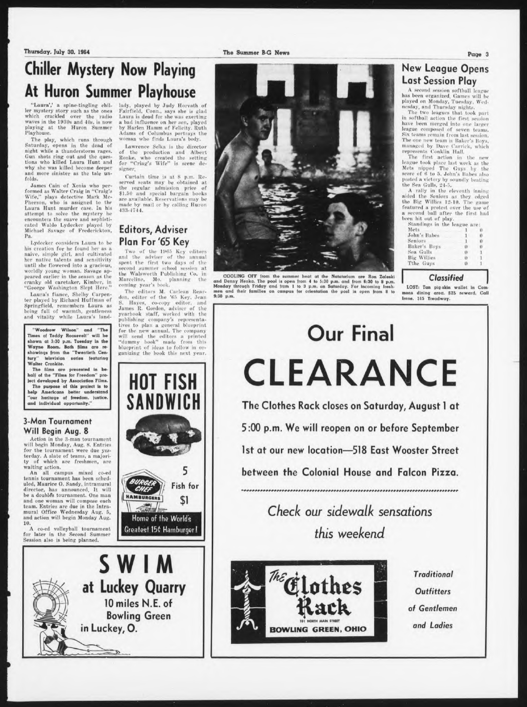Thursday. July 30. 1964 The Summer B-G News

## **Chiller Mystery Now Playing At Huron Summer Playhouse**

"Laura',' a spine-tingling chil-ler mystery story such as the ones which crackled over the radio waves in the 1980a and 4Of, is now playing at the Huron Summer Playhouse.

The play, which runs through<br>Saturday, opens in the dead of<br>night while a thunderstorm rages.<br>Gun shots ring out and the ques-<br>tions who killed Laura Hunt and<br>why she was killed become deeper and more sinister as the tale unfolds.

James Cain of Xenia who performed as Walter Craig in "Craig's<br>Wife," plays detective Mark Mc-<br>Pherson, who is assigned to the<br>Laura Hunt murder case. In his attempt to solve the mystery he encounters the suave and sophisticated Waldo Lydecker played by Michael Savage of Frederickton, Pa.

Lydecker considers Laura to be<br>his creation for he found her as a<br>naive, simple girl, and cultivated<br>her native talents and sensitivity<br>until she flowered into a gracious,<br>worldly young woman. Savage ap-<br>peared earlier in cranky old caretaker. Kimher, in "George Washington Slept Here."

Laura's fiance. Shelby Carpenter played by Kichard Huffman of Springfield, remembers Laura as being full of warmth, gentleness and vitality while Laura's land-

"Woodrow Wilson" and "The<br>Times of Teddy Roosevelt" will be shown at 3:30 p.m. Tuesday in the<br>Wayne Room. Both films are re-<br>showings from the "Twentieth Century" television series featuring Walter Cronkite.

The films are presented in be-<br>half of the "Films for Freedom" pro-<br>ioct developed by Association Films.<br>The purpose of this project is to<br>help Americans better understand<br>"our heritage of freedom, justice, and Individual opportunity."

#### **3-Man Tournament Will Begin Aug. 8**

Action in the 3-man tournament will begin Monday, Aug. 8. Entries<br>for the tournament were due yes-<br>terday. A slate of teams, a majori-<br>ty of which are freshmen, are<br>waiting action.

An all campus mixed co-ed tennis tournament has been sched-uled, Maurice O. Sandy, intramural director, has announced. It will a double's tournament. One man and one woman will compose each team. Entries are due in the Intra-<br>mural Office Wednesday Aug. 5, and action will begin Monday Aug. 10.

A co-ed volleyball tournament for later in the Second Summer Session also is being planned.



Lawrence Selka is the director of the production and Albert Ronke, who created the setting<br>for "Criag's Wife" is scene designer.

Curtain time is at 8 p.m. Reserved seats may be obtained at<br>the regular admission price of<br>\$1.50 and special bargain books are available. Reservations may be made by mail or hv calling Huron 483-4744.

#### **Editors, Adviser Plan For'65 Key**

Two of the 1965 Key editors anil the adviser of the annual spent the first two days of the second summer school session at the Walaworth Publishing Go. in Mareeline. Mo. planning the Coming year's hook.

The editors M. Carlean Rear-<br>don, editor of the '65 Key, Jean<br>S. Hayes, co-copy editor, and<br>James R. Gordon, adviser of the yearbook staff, worked with the publishing company's representa-tives to plan <sup>a</sup> general blueprint for the new annual. The company will send the editors a printed<br>"dummy book" made from this<br>blueprint of ideas to follow in organizing the book this next year.

**HOT FISH**

Home of the World's Greatest 150 Hamburger!

5

Fish for

\$1

**SWIM**

**HAMBUR** 

 $\frac{1}{\sqrt{10.890}}$ 

**at Luckey Quarry**

**in Luckey, 0.**

**10 miles N.E. of Bowling Green**

**SANDWI** 



COOLING OFF from the summer heat at the Natatorium are Ron Zaleski<br>and Denny Henka. The pool is open from 4 to 5:30 p.m. and from 6:30 to 8 p.m.<br>Monday through Friday and from 1 to 3 p.m. on Saturday. For incoming fresh-<br>m 9:30 p.m.

# **Our Final CLEARANCE**

**The Clothes Rack closes on Saturday, August <sup>1</sup> at 5:00 p.m. We will reopen on or before September 1st at our new location—518 East Wooster Street between the Colonial House and Falcon Pizza.** -^-\*\*\*\*»\*«\*\*\*»\*#\*»\*»\*\*\*\*\*\*\*\*

> *Check* our *sidewalk sensations this weekend*



*Outfitters of Gentlemen and Ladies*

#### Page 3

#### **New League Opens Last Session Play**

<sup>A</sup> second session softball league has been organised. Games will be played on Monday. Tuesday, Wed-nesday, ami Thursday nights.

The two leagues that took part<br>in softball action the first session have been merged into one larger<br>league composed of seven teams.<br>Six teams remain from last session. The one new team is Baker's Hoys, managed by Dave Carrick, which represents Conklln Mall.

The first action in the new<br>league took place last week as the<br>Mets nipped The Guys by the<br>score of 6 to 5. John's Babes also<br>posted a victory by soundly beating<br>the Sea Gulls, 24-5.<br>A rally in the eleventh inning

aided the Seniors as they edged<br>the Big Willies 12-10. The game<br>featured a protest over the use of<br>a second ball after the first had<br>been hit out of play.<br>Standings in the league are:

| Standings in the league are: |          |          |
|------------------------------|----------|----------|
| Mets                         |          | Ü        |
| John's Babes                 |          | 0        |
| Seniors                      | 1        | $\theta$ |
| Baker's Boys                 | $\cup$   | $\theta$ |
| Sea Gulls                    | $\theta$ |          |
| <b>Big Willies</b>           | $\theta$ |          |
| Tthe Guys                    |          |          |

#### *Classifiec* **<sup>1</sup>**

LOST: Tan pig-skin wallet in Co mons dining area. \$25 reward. Call Irene. 31S Treadway.